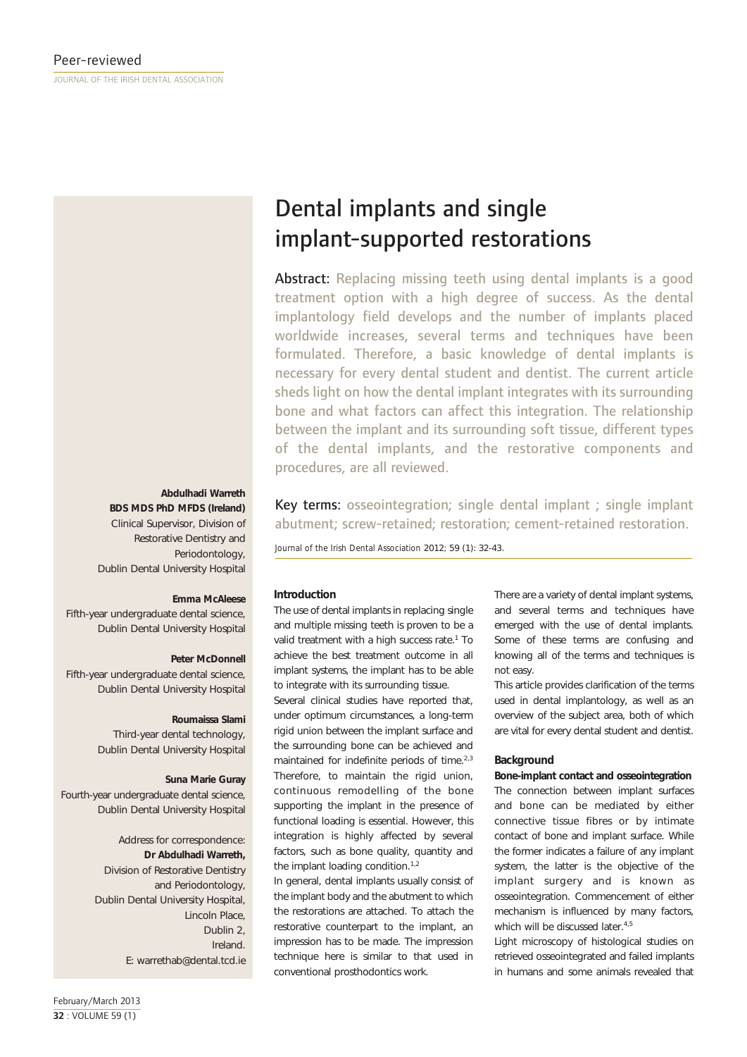### **Abdulhadi Warreth**

**BDS MDS PhD MFDS (Ireland)** Clinical Supervisor, Division of Restorative Dentistry and Periodontology, Dublin Dental University Hospital

### **Emma McAleese**

Fifth-year undergraduate dental science, Dublin Dental University Hospital

# **Peter McDonnell**

Fifth-year undergraduate dental science, Dublin Dental University Hospital

### **Roumaissa Slami**

Third-year dental technology, Dublin Dental University Hospital

### **Suna Marie Guray**

Fourth-year undergraduate dental science, Dublin Dental University Hospital

> Address for correspondence: **Dr Abdulhadi Warreth,** Division of Restorative Dentistry and Periodontology, Dublin Dental University Hospital, Lincoln Place, Dublin 2, Ireland. E: warrethab@dental.tcd.ie

# Dental implants and single implant-supported restorations

Abstract: Replacing missing teeth using dental implants is a good treatment option with a high degree of success. As the dental implantology field develops and the number of implants placed worldwide increases, several terms and techniques have been formulated. Therefore, a basic knowledge of dental implants is necessary for every dental student and dentist. The current article sheds light on how the dental implant integrates with its surrounding bone and what factors can affect this integration. The relationship between the implant and its surrounding soft tissue, different types of the dental implants, and the restorative components and procedures, are all reviewed.

Key terms: osseointegration; single dental implant ; single implant abutment; screw-retained; restoration; cement-retained restoration.

*Journal of the Irish Dental Association* 2012*;* 59 (1): 32-43.

# **Introduction**

The use of dental implants in replacing single and multiple missing teeth is proven to be a valid treatment with a high success rate.<sup>1</sup> To achieve the best treatment outcome in all implant systems, the implant has to be able to integrate with its surrounding tissue.

Several clinical studies have reported that, under optimum circumstances, a long-term rigid union between the implant surface and the surrounding bone can be achieved and maintained for indefinite periods of time.<sup>2,3</sup> Therefore, to maintain the rigid union, continuous remodelling of the bone supporting the implant in the presence of functional loading is essential. However, this integration is highly affected by several factors, such as bone quality, quantity and the implant loading condition.<sup>1,2</sup>

In general, dental implants usually consist of the implant body and the abutment to which the restorations are attached. To attach the restorative counterpart to the implant, an impression has to be made. The impression technique here is similar to that used in conventional prosthodontics work.

There are a variety of dental implant systems, and several terms and techniques have emerged with the use of dental implants. Some of these terms are confusing and knowing all of the terms and techniques is not easy.

This article provides clarification of the terms used in dental implantology, as well as an overview of the subject area, both of which are vital for every dental student and dentist.

# **Background**

**Bone-implant contact and osseointegration** The connection between implant surfaces and bone can be mediated by either connective tissue fibres or by intimate contact of bone and implant surface. While the former indicates a failure of any implant system, the latter is the objective of the implant surgery and is known as osseointegration. Commencement of either mechanism is influenced by many factors, which will be discussed later.<sup>4,5</sup>

Light microscopy of histological studies on retrieved osseointegrated and failed implants in humans and some animals revealed that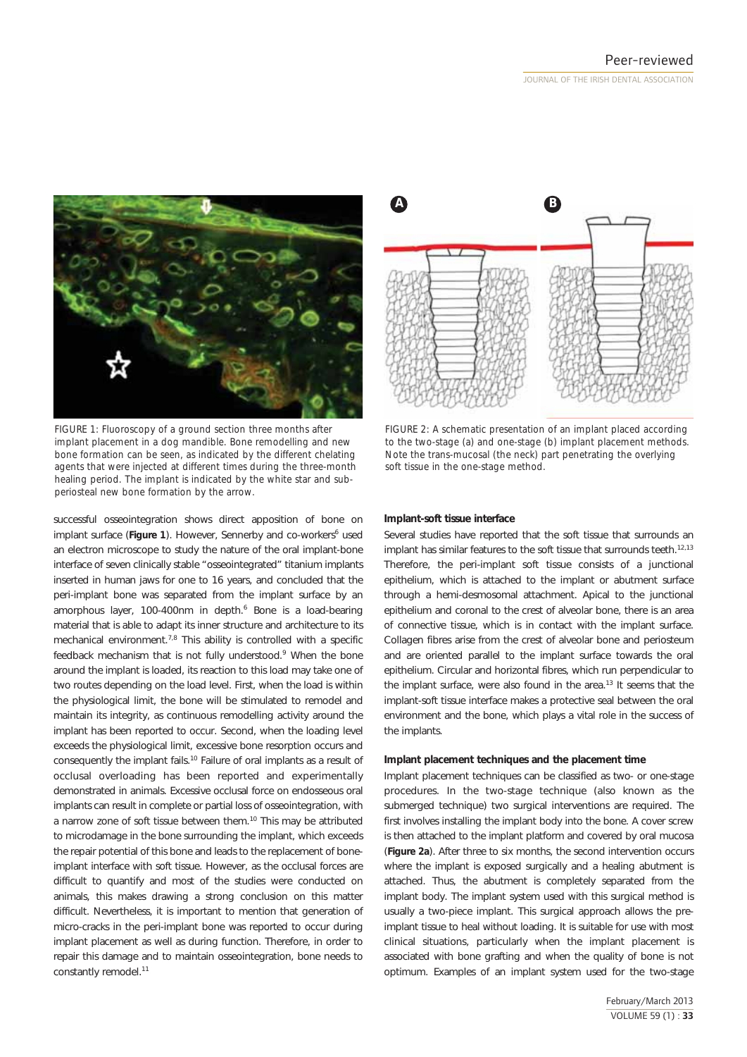

*FIGURE 1: Fluoroscopy of a ground section three months after implant placement in a dog mandible. Bone remodelling and new bone formation can be seen, as indicated by the different chelating agents that were injected at different times during the three-month healing period. The implant is indicated by the white star and subperiosteal new bone formation by the arrow.*

successful osseointegration shows direct apposition of bone on implant surface (Figure 1). However, Sennerby and co-workers<sup>6</sup> used an electron microscope to study the nature of the oral implant-bone interface of seven clinically stable "osseointegrated" titanium implants inserted in human jaws for one to 16 years, and concluded that the peri-implant bone was separated from the implant surface by an amorphous layer, 100-400nm in depth.<sup>6</sup> Bone is a load-bearing material that is able to adapt its inner structure and architecture to its mechanical environment.7,8 This ability is controlled with a specific feedback mechanism that is not fully understood.<sup>9</sup> When the bone around the implant is loaded, its reaction to this load may take one of two routes depending on the load level. First, when the load is within the physiological limit, the bone will be stimulated to remodel and maintain its integrity, as continuous remodelling activity around the implant has been reported to occur. Second, when the loading level exceeds the physiological limit, excessive bone resorption occurs and consequently the implant fails.<sup>10</sup> Failure of oral implants as a result of occlusal overloading has been reported and experimentally demonstrated in animals. Excessive occlusal force on endosseous oral implants can result in complete or partial loss of osseointegration, with a narrow zone of soft tissue between them.10 This may be attributed to microdamage in the bone surrounding the implant, which exceeds the repair potential of this bone and leads to the replacement of boneimplant interface with soft tissue. However, as the occlusal forces are difficult to quantify and most of the studies were conducted on animals, this makes drawing a strong conclusion on this matter difficult. Nevertheless, it is important to mention that generation of micro-cracks in the peri-implant bone was reported to occur during implant placement as well as during function. Therefore, in order to repair this damage and to maintain osseointegration, bone needs to constantly remodel.<sup>11</sup>



*FIGURE 2: A schematic presentation of an implant placed according to the two-stage (a) and one-stage (b) implant placement methods. Note the trans-mucosal (the neck) part penetrating the overlying soft tissue in the one-stage method.*

# **Implant-soft tissue interface**

Several studies have reported that the soft tissue that surrounds an implant has similar features to the soft tissue that surrounds teeth.<sup>12,13</sup> Therefore, the peri-implant soft tissue consists of a junctional epithelium, which is attached to the implant or abutment surface through a hemi-desmosomal attachment. Apical to the junctional epithelium and coronal to the crest of alveolar bone, there is an area of connective tissue, which is in contact with the implant surface. Collagen fibres arise from the crest of alveolar bone and periosteum and are oriented parallel to the implant surface towards the oral epithelium. Circular and horizontal fibres, which run perpendicular to the implant surface, were also found in the area.<sup>13</sup> It seems that the implant-soft tissue interface makes a protective seal between the oral environment and the bone, which plays a vital role in the success of the implants.

### **Implant placement techniques and the placement time**

Implant placement techniques can be classified as two- or one-stage procedures. In the two-stage technique (also known as the submerged technique) two surgical interventions are required. The first involves installing the implant body into the bone. A cover screw is then attached to the implant platform and covered by oral mucosa (**Figure 2a**). After three to six months, the second intervention occurs where the implant is exposed surgically and a healing abutment is attached. Thus, the abutment is completely separated from the implant body. The implant system used with this surgical method is usually a two-piece implant. This surgical approach allows the preimplant tissue to heal without loading. It is suitable for use with most clinical situations, particularly when the implant placement is associated with bone grafting and when the quality of bone is not optimum. Examples of an implant system used for the two-stage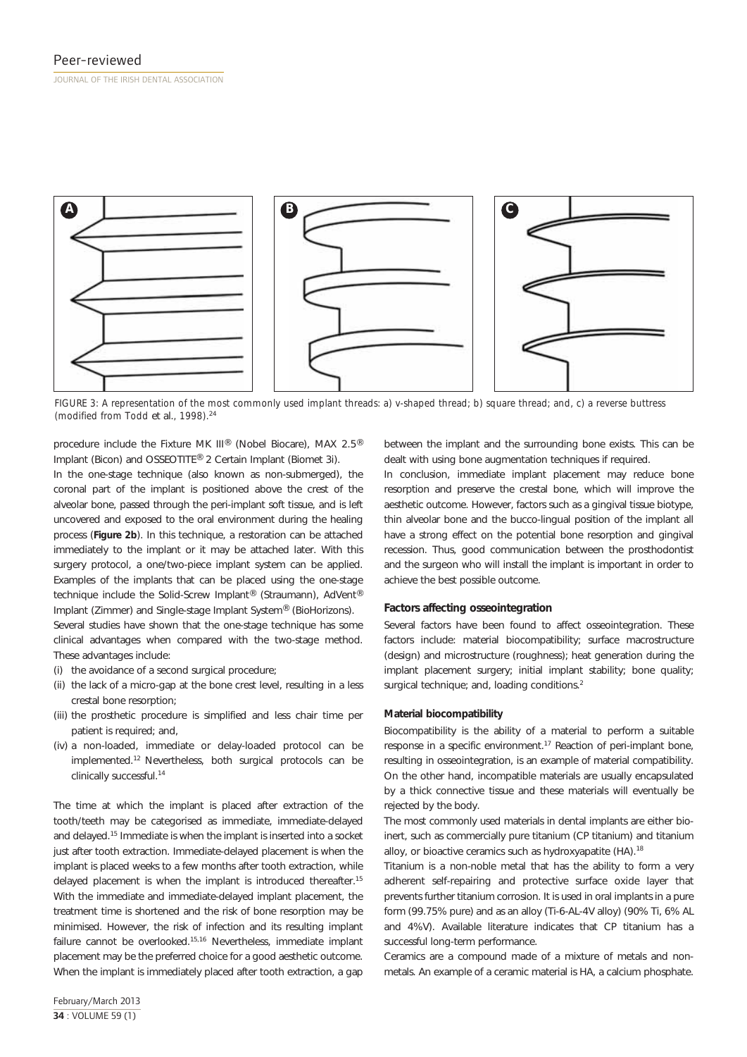

*FIGURE 3: A representation of the most commonly used implant threads: a) v-shaped thread; b) square thread; and, c) a reverse buttress (modified from Todd* et al.*, 1998).*<sup>24</sup>

procedure include the Fixture MK III® (Nobel Biocare), MAX 2.5® Implant (Bicon) and OSSEOTITE® 2 Certain Implant (Biomet 3i).

In the one-stage technique (also known as non-submerged), the coronal part of the implant is positioned above the crest of the alveolar bone, passed through the peri-implant soft tissue, and is left uncovered and exposed to the oral environment during the healing process (**Figure 2b**). In this technique, a restoration can be attached immediately to the implant or it may be attached later. With this surgery protocol, a one/two-piece implant system can be applied. Examples of the implants that can be placed using the one-stage technique include the Solid-Screw Implant® (Straumann), AdVent® Implant (Zimmer) and Single-stage Implant System® (BioHorizons).

Several studies have shown that the one-stage technique has some clinical advantages when compared with the two-stage method. These advantages include:

- (i) the avoidance of a second surgical procedure;
- (ii) the lack of a micro-gap at the bone crest level, resulting in a less crestal bone resorption;
- (iii) the prosthetic procedure is simplified and less chair time per patient is required; and,
- (iv) a non-loaded, immediate or delay-loaded protocol can be implemented.12 Nevertheless, both surgical protocols can be clinically successful.<sup>14</sup>

The time at which the implant is placed after extraction of the tooth/teeth may be categorised as immediate, immediate-delayed and delayed.15 Immediate is when the implant is inserted into a socket just after tooth extraction. Immediate-delayed placement is when the implant is placed weeks to a few months after tooth extraction, while delayed placement is when the implant is introduced thereafter.<sup>15</sup> With the immediate and immediate-delayed implant placement, the treatment time is shortened and the risk of bone resorption may be minimised. However, the risk of infection and its resulting implant failure cannot be overlooked.15,16 Nevertheless, immediate implant placement may be the preferred choice for a good aesthetic outcome. When the implant is immediately placed after tooth extraction, a gap

between the implant and the surrounding bone exists. This can be dealt with using bone augmentation techniques if required.

In conclusion, immediate implant placement may reduce bone resorption and preserve the crestal bone, which will improve the aesthetic outcome. However, factors such as a gingival tissue biotype, thin alveolar bone and the bucco-lingual position of the implant all have a strong effect on the potential bone resorption and gingival recession. Thus, good communication between the prosthodontist and the surgeon who will install the implant is important in order to achieve the best possible outcome.

### **Factors affecting osseointegration**

Several factors have been found to affect osseointegration. These factors include: material biocompatibility; surface macrostructure (design) and microstructure (roughness); heat generation during the implant placement surgery; initial implant stability; bone quality; surgical technique; and, loading conditions.<sup>2</sup>

### **Material biocompatibility**

Biocompatibility is the ability of a material to perform a suitable response in a specific environment.17 Reaction of peri-implant bone, resulting in osseointegration, is an example of material compatibility. On the other hand, incompatible materials are usually encapsulated by a thick connective tissue and these materials will eventually be rejected by the body.

The most commonly used materials in dental implants are either bioinert, such as commercially pure titanium (CP titanium) and titanium alloy, or bioactive ceramics such as hydroxyapatite (HA).<sup>18</sup>

Titanium is a non-noble metal that has the ability to form a very adherent self-repairing and protective surface oxide layer that prevents further titanium corrosion. It is used in oral implants in a pure form (99.75% pure) and as an alloy (Ti-6-AL-4V alloy) (90% Ti, 6% AL and 4%V). Available literature indicates that CP titanium has a successful long-term performance.

Ceramics are a compound made of a mixture of metals and nonmetals. An example of a ceramic material is HA, a calcium phosphate.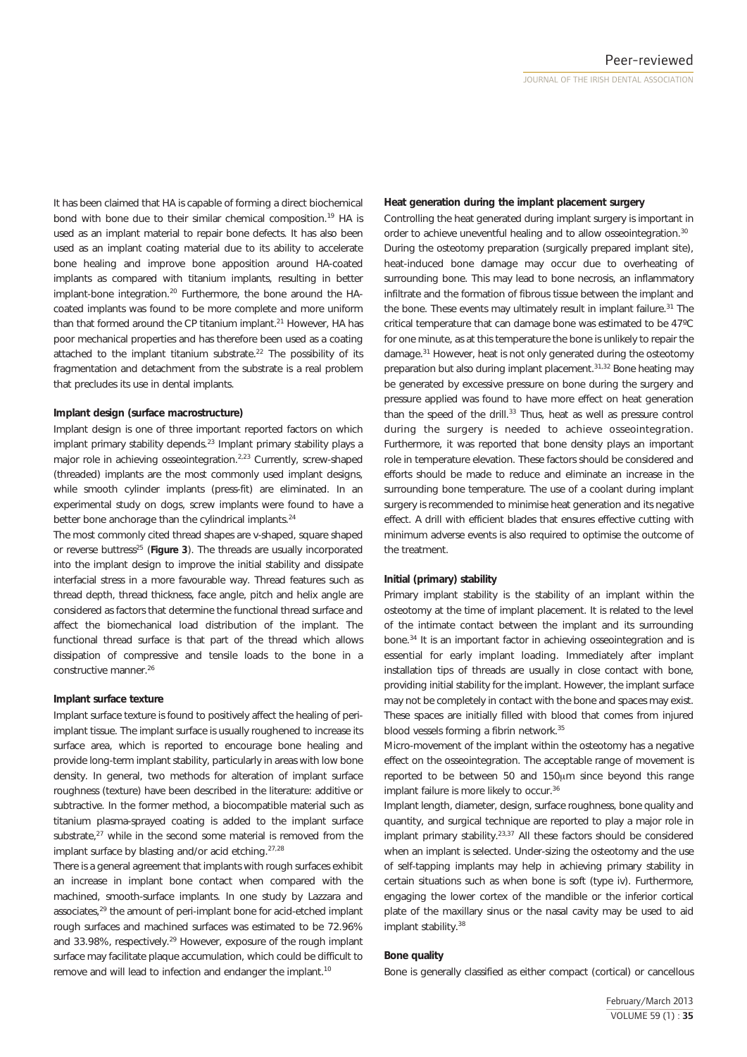It has been claimed that HA is capable of forming a direct biochemical bond with bone due to their similar chemical composition.<sup>19</sup> HA is used as an implant material to repair bone defects. It has also been used as an implant coating material due to its ability to accelerate bone healing and improve bone apposition around HA-coated implants as compared with titanium implants, resulting in better implant-bone integration.<sup>20</sup> Furthermore, the bone around the HAcoated implants was found to be more complete and more uniform than that formed around the CP titanium implant.<sup>21</sup> However, HA has poor mechanical properties and has therefore been used as a coating attached to the implant titanium substrate.<sup>22</sup> The possibility of its fragmentation and detachment from the substrate is a real problem that precludes its use in dental implants.

# **Implant design (surface macrostructure)**

Implant design is one of three important reported factors on which implant primary stability depends.<sup>23</sup> Implant primary stability plays a major role in achieving osseointegration.<sup>2,23</sup> Currently, screw-shaped (threaded) implants are the most commonly used implant designs, while smooth cylinder implants (press-fit) are eliminated. In an experimental study on dogs, screw implants were found to have a better bone anchorage than the cylindrical implants.<sup>24</sup>

The most commonly cited thread shapes are v-shaped, square shaped or reverse buttress25 (**Figure 3**). The threads are usually incorporated into the implant design to improve the initial stability and dissipate interfacial stress in a more favourable way. Thread features such as thread depth, thread thickness, face angle, pitch and helix angle are considered as factors that determine the functional thread surface and affect the biomechanical load distribution of the implant. The functional thread surface is that part of the thread which allows dissipation of compressive and tensile loads to the bone in a constructive manner.<sup>26</sup>

### **Implant surface texture**

Implant surface texture is found to positively affect the healing of periimplant tissue. The implant surface is usually roughened to increase its surface area, which is reported to encourage bone healing and provide long-term implant stability, particularly in areas with low bone density. In general, two methods for alteration of implant surface roughness (texture) have been described in the literature: additive or subtractive. In the former method, a biocompatible material such as titanium plasma-sprayed coating is added to the implant surface substrate,<sup>27</sup> while in the second some material is removed from the implant surface by blasting and/or acid etching.<sup>27,28</sup>

There is a general agreement that implants with rough surfaces exhibit an increase in implant bone contact when compared with the machined, smooth-surface implants. In one study by Lazzara and associates,29 the amount of peri-implant bone for acid-etched implant rough surfaces and machined surfaces was estimated to be 72.96% and 33.98%, respectively.<sup>29</sup> However, exposure of the rough implant surface may facilitate plaque accumulation, which could be difficult to remove and will lead to infection and endanger the implant.<sup>10</sup>

### **Heat generation during the implant placement surgery**

Controlling the heat generated during implant surgery is important in order to achieve uneventful healing and to allow osseointegration.<sup>30</sup> During the osteotomy preparation (surgically prepared implant site), heat-induced bone damage may occur due to overheating of surrounding bone. This may lead to bone necrosis, an inflammatory infiltrate and the formation of fibrous tissue between the implant and the bone. These events may ultimately result in implant failure.<sup>31</sup> The critical temperature that can damage bone was estimated to be 47ºC for one minute, as at this temperature the bone is unlikely to repair the damage.31 However, heat is not only generated during the osteotomy preparation but also during implant placement.31,32 Bone heating may be generated by excessive pressure on bone during the surgery and pressure applied was found to have more effect on heat generation than the speed of the drill.<sup>33</sup> Thus, heat as well as pressure control during the surgery is needed to achieve osseointegration. Furthermore, it was reported that bone density plays an important role in temperature elevation. These factors should be considered and efforts should be made to reduce and eliminate an increase in the surrounding bone temperature. The use of a coolant during implant surgery is recommended to minimise heat generation and its negative effect. A drill with efficient blades that ensures effective cutting with minimum adverse events is also required to optimise the outcome of the treatment.

### **Initial (primary) stability**

Primary implant stability is the stability of an implant within the osteotomy at the time of implant placement. It is related to the level of the intimate contact between the implant and its surrounding bone.34 It is an important factor in achieving osseointegration and is essential for early implant loading. Immediately after implant installation tips of threads are usually in close contact with bone, providing initial stability for the implant. However, the implant surface may not be completely in contact with the bone and spaces may exist. These spaces are initially filled with blood that comes from injured blood vessels forming a fibrin network.<sup>35</sup>

Micro-movement of the implant within the osteotomy has a negative effect on the osseointegration. The acceptable range of movement is reported to be between 50 and 150μm since beyond this range implant failure is more likely to occur.<sup>36</sup>

Implant length, diameter, design, surface roughness, bone quality and quantity, and surgical technique are reported to play a major role in implant primary stability.<sup>23,37</sup> All these factors should be considered when an implant is selected. Under-sizing the osteotomy and the use of self-tapping implants may help in achieving primary stability in certain situations such as when bone is soft (type iv). Furthermore, engaging the lower cortex of the mandible or the inferior cortical plate of the maxillary sinus or the nasal cavity may be used to aid implant stability.<sup>38</sup>

# **Bone quality**

Bone is generally classified as either compact (cortical) or cancellous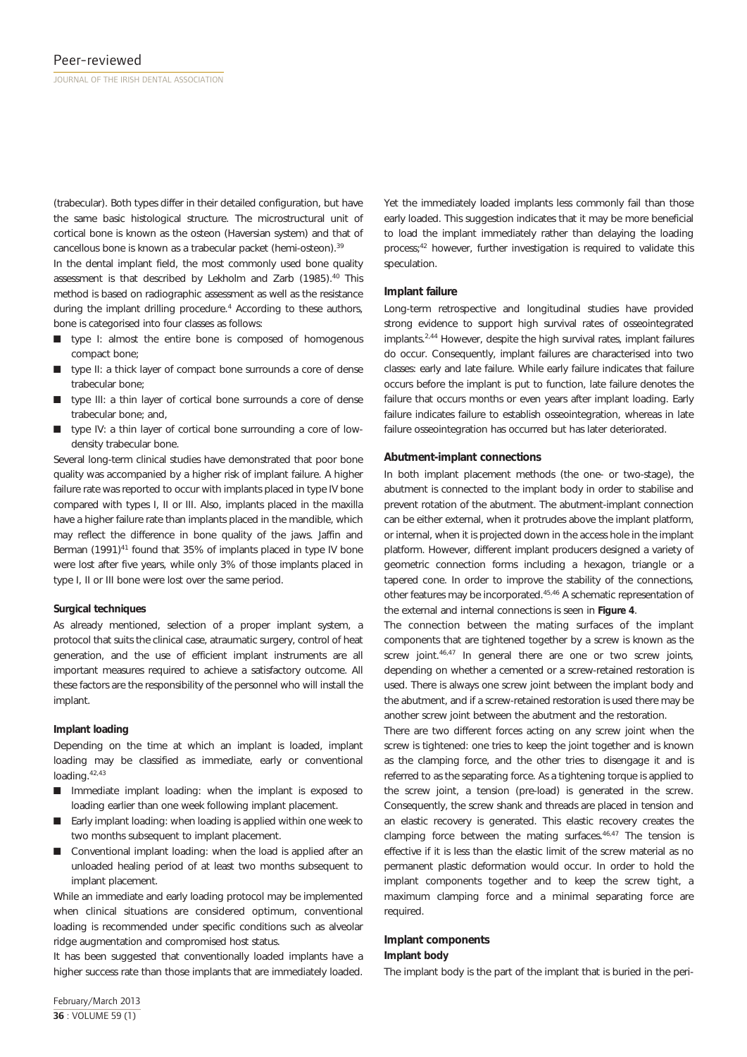(trabecular). Both types differ in their detailed configuration, but have the same basic histological structure. The microstructural unit of cortical bone is known as the osteon (Haversian system) and that of cancellous bone is known as a trabecular packet (hemi-osteon).<sup>39</sup>

In the dental implant field, the most commonly used bone quality assessment is that described by Lekholm and Zarb (1985).<sup>40</sup> This method is based on radiographic assessment as well as the resistance during the implant drilling procedure.<sup>4</sup> According to these authors, bone is categorised into four classes as follows:

- $\blacksquare$  type I: almost the entire bone is composed of homogenous compact bone;
- $\blacksquare$  type II: a thick layer of compact bone surrounds a core of dense trabecular bone;
- type III: a thin layer of cortical bone surrounds a core of dense trabecular bone; and,
- $\blacksquare$  type IV: a thin layer of cortical bone surrounding a core of lowdensity trabecular bone.

Several long-term clinical studies have demonstrated that poor bone quality was accompanied by a higher risk of implant failure. A higher failure rate was reported to occur with implants placed in type IV bone compared with types I, II or III. Also, implants placed in the maxilla have a higher failure rate than implants placed in the mandible, which may reflect the difference in bone quality of the jaws. Jaffin and Berman (1991)<sup>41</sup> found that 35% of implants placed in type IV bone were lost after five years, while only 3% of those implants placed in type I, II or III bone were lost over the same period.

### **Surgical techniques**

As already mentioned, selection of a proper implant system, a protocol that suits the clinical case, atraumatic surgery, control of heat generation, and the use of efficient implant instruments are all important measures required to achieve a satisfactory outcome. All these factors are the responsibility of the personnel who will install the implant.

### **Implant loading**

Depending on the time at which an implant is loaded, implant loading may be classified as immediate, early or conventional loading.42,43

- Immediate implant loading: when the implant is exposed to loading earlier than one week following implant placement.
- Early implant loading: when loading is applied within one week to two months subsequent to implant placement.
- $\Box$  Conventional implant loading: when the load is applied after an unloaded healing period of at least two months subsequent to implant placement.

While an immediate and early loading protocol may be implemented when clinical situations are considered optimum, conventional loading is recommended under specific conditions such as alveolar ridge augmentation and compromised host status.

It has been suggested that conventionally loaded implants have a higher success rate than those implants that are immediately loaded.

Yet the immediately loaded implants less commonly fail than those early loaded. This suggestion indicates that it may be more beneficial to load the implant immediately rather than delaying the loading process;<sup>42</sup> however, further investigation is required to validate this speculation.

### **Implant failure**

Long-term retrospective and longitudinal studies have provided strong evidence to support high survival rates of osseointegrated implants.2,44 However, despite the high survival rates, implant failures do occur. Consequently, implant failures are characterised into two classes: early and late failure. While early failure indicates that failure occurs before the implant is put to function, late failure denotes the failure that occurs months or even years after implant loading. Early failure indicates failure to establish osseointegration, whereas in late failure osseointegration has occurred but has later deteriorated.

# **Abutment-implant connections**

In both implant placement methods (the one- or two-stage), the abutment is connected to the implant body in order to stabilise and prevent rotation of the abutment. The abutment-implant connection can be either external, when it protrudes above the implant platform, or internal, when it is projected down in the access hole in the implant platform. However, different implant producers designed a variety of geometric connection forms including a hexagon, triangle or a tapered cone. In order to improve the stability of the connections, other features may be incorporated.<sup>45,46</sup> A schematic representation of the external and internal connections is seen in **Figure 4**.

The connection between the mating surfaces of the implant components that are tightened together by a screw is known as the screw joint.<sup>46,47</sup> In general there are one or two screw joints, depending on whether a cemented or a screw-retained restoration is used. There is always one screw joint between the implant body and the abutment, and if a screw-retained restoration is used there may be another screw joint between the abutment and the restoration.

There are two different forces acting on any screw joint when the screw is tightened: one tries to keep the joint together and is known as the clamping force, and the other tries to disengage it and is referred to as the separating force. As a tightening torque is applied to the screw joint, a tension (pre-load) is generated in the screw. Consequently, the screw shank and threads are placed in tension and an elastic recovery is generated. This elastic recovery creates the clamping force between the mating surfaces.46,47 The tension is effective if it is less than the elastic limit of the screw material as no permanent plastic deformation would occur. In order to hold the implant components together and to keep the screw tight, a maximum clamping force and a minimal separating force are required.

### **Implant components Implant body**

The implant body is the part of the implant that is buried in the peri-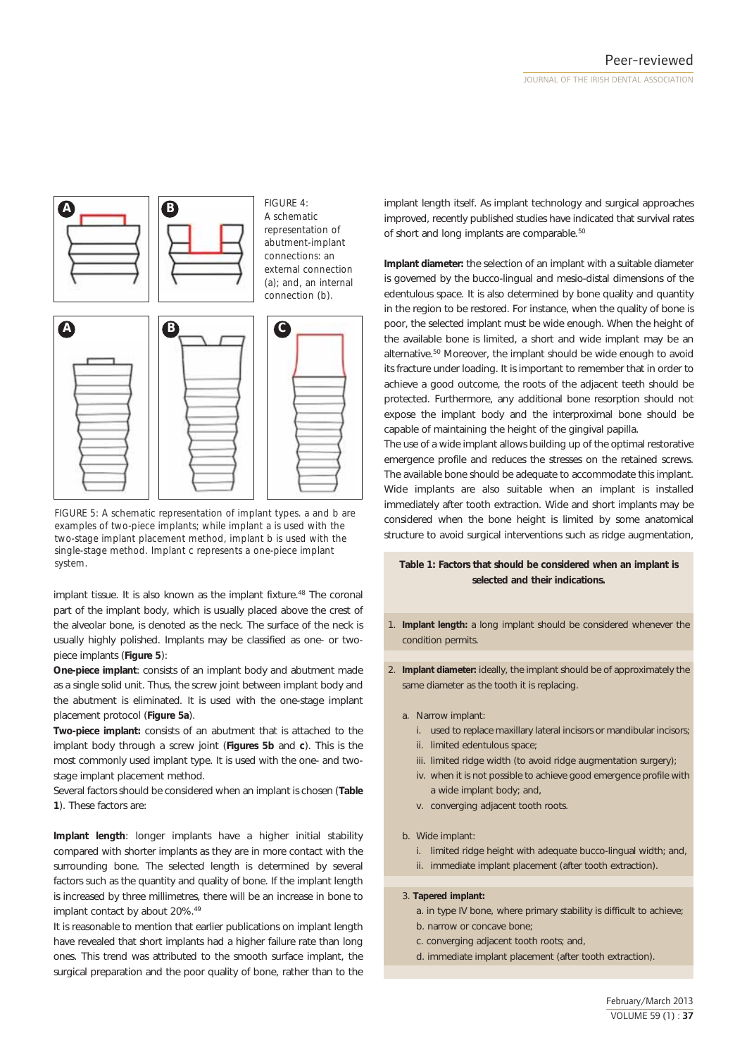

*FIGURE 5: A schematic representation of implant types. a and b are examples of two-piece implants; while implant a is used with the two-stage implant placement method, implant b is used with the single-stage method. Implant c represents a one-piece implant system.*

implant tissue. It is also known as the implant fixture.<sup>48</sup> The coronal part of the implant body, which is usually placed above the crest of the alveolar bone, is denoted as the neck. The surface of the neck is usually highly polished. Implants may be classified as one- or twopiece implants (**Figure 5**):

**One-piece implant**: consists of an implant body and abutment made as a single solid unit. Thus, the screw joint between implant body and the abutment is eliminated. It is used with the one-stage implant placement protocol (**Figure 5a**).

**Two-piece implant:** consists of an abutment that is attached to the implant body through a screw joint (**Figures 5b** and **c**). This is the most commonly used implant type. It is used with the one- and twostage implant placement method.

Several factors should be considered when an implant is chosen (**Table 1**). These factors are:

**Implant length**: longer implants have a higher initial stability compared with shorter implants as they are in more contact with the surrounding bone. The selected length is determined by several factors such as the quantity and quality of bone. If the implant length is increased by three millimetres, there will be an increase in bone to implant contact by about 20%.<sup>49</sup>

It is reasonable to mention that earlier publications on implant length have revealed that short implants had a higher failure rate than long ones. This trend was attributed to the smooth surface implant, the surgical preparation and the poor quality of bone, rather than to the

implant length itself. As implant technology and surgical approaches improved, recently published studies have indicated that survival rates of short and long implants are comparable.<sup>50</sup>

**Implant diameter:** the selection of an implant with a suitable diameter is governed by the bucco-lingual and mesio-distal dimensions of the edentulous space. It is also determined by bone quality and quantity in the region to be restored. For instance, when the quality of bone is poor, the selected implant must be wide enough. When the height of the available bone is limited, a short and wide implant may be an alternative.50 Moreover, the implant should be wide enough to avoid its fracture under loading. It is important to remember that in order to achieve a good outcome, the roots of the adjacent teeth should be protected. Furthermore, any additional bone resorption should not expose the implant body and the interproximal bone should be capable of maintaining the height of the gingival papilla.

The use of a wide implant allows building up of the optimal restorative emergence profile and reduces the stresses on the retained screws. The available bone should be adequate to accommodate this implant. Wide implants are also suitable when an implant is installed immediately after tooth extraction. Wide and short implants may be considered when the bone height is limited by some anatomical structure to avoid surgical interventions such as ridge augmentation,

# **Table 1: Factors that should be considered when an implant is selected and their indications.**

- 1. **Implant length:** a long implant should be considered whenever the condition permits.
- 2. **Implant diameter:** ideally, the implant should be of approximately the same diameter as the tooth it is replacing.
	- a. Narrow implant:
		- i. used to replace maxillary lateral incisors or mandibular incisors;
		- ii. limited edentulous space;
		- iii. limited ridge width (to avoid ridge augmentation surgery);
		- iv. when it is not possible to achieve good emergence profile with a wide implant body; and,
		- v. converging adjacent tooth roots.
	- b. Wide implant:
		- i. limited ridge height with adequate bucco-lingual width; and,
		- ii. immediate implant placement (after tooth extraction).

# 3. **Tapered implant:**

- a. in type IV bone, where primary stability is difficult to achieve;
- b. narrow or concave bone;
- c. converging adjacent tooth roots; and,
- d. immediate implant placement (after tooth extraction).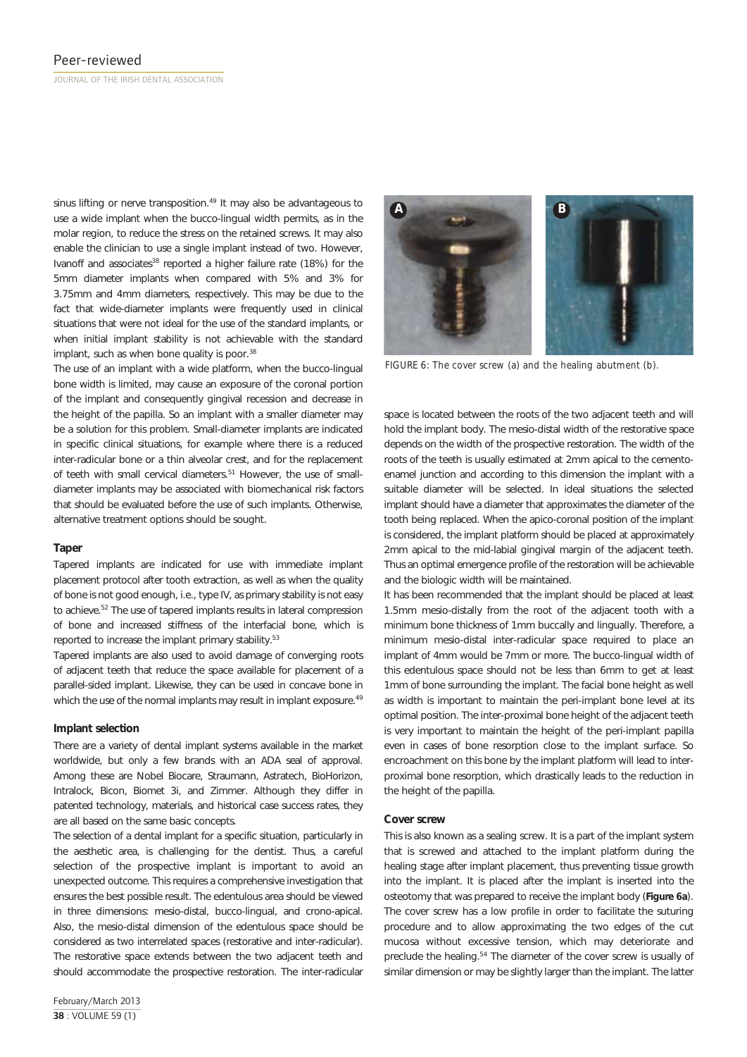sinus lifting or nerve transposition.<sup>49</sup> It may also be advantageous to use a wide implant when the bucco-lingual width permits, as in the molar region, to reduce the stress on the retained screws. It may also enable the clinician to use a single implant instead of two. However, Ivanoff and associates<sup>38</sup> reported a higher failure rate (18%) for the 5mm diameter implants when compared with 5% and 3% for 3.75mm and 4mm diameters, respectively. This may be due to the fact that wide-diameter implants were frequently used in clinical situations that were not ideal for the use of the standard implants, or when initial implant stability is not achievable with the standard implant, such as when bone quality is poor.<sup>38</sup>

The use of an implant with a wide platform, when the bucco-lingual bone width is limited, may cause an exposure of the coronal portion of the implant and consequently gingival recession and decrease in the height of the papilla. So an implant with a smaller diameter may be a solution for this problem. Small-diameter implants are indicated in specific clinical situations, for example where there is a reduced inter-radicular bone or a thin alveolar crest, and for the replacement of teeth with small cervical diameters.<sup>51</sup> However, the use of smalldiameter implants may be associated with biomechanical risk factors that should be evaluated before the use of such implants. Otherwise, alternative treatment options should be sought.

### **Taper**

Tapered implants are indicated for use with immediate implant placement protocol after tooth extraction, as well as when the quality of bone is not good enough, i.e., type IV, as primary stability is not easy to achieve.52 The use of tapered implants results in lateral compression of bone and increased stiffness of the interfacial bone, which is reported to increase the implant primary stability.<sup>53</sup>

Tapered implants are also used to avoid damage of converging roots of adjacent teeth that reduce the space available for placement of a parallel-sided implant. Likewise, they can be used in concave bone in which the use of the normal implants may result in implant exposure.<sup>49</sup>

### **Implant selection**

There are a variety of dental implant systems available in the market worldwide, but only a few brands with an ADA seal of approval. Among these are Nobel Biocare, Straumann, Astratech, BioHorizon, Intralock, Bicon, Biomet 3i, and Zimmer. Although they differ in patented technology, materials, and historical case success rates, they are all based on the same basic concepts.

The selection of a dental implant for a specific situation, particularly in the aesthetic area, is challenging for the dentist. Thus, a careful selection of the prospective implant is important to avoid an unexpected outcome. This requires a comprehensive investigation that ensures the best possible result. The edentulous area should be viewed in three dimensions: mesio-distal, bucco-lingual, and crono-apical. Also, the mesio-distal dimension of the edentulous space should be considered as two interrelated spaces (restorative and inter-radicular). The restorative space extends between the two adjacent teeth and should accommodate the prospective restoration. The inter-radicular

February/March 2013 **38** : VOLUME 59 (1)



*FIGURE 6: The cover screw (a) and the healing abutment (b).*

space is located between the roots of the two adjacent teeth and will hold the implant body. The mesio-distal width of the restorative space depends on the width of the prospective restoration. The width of the roots of the teeth is usually estimated at 2mm apical to the cementoenamel junction and according to this dimension the implant with a suitable diameter will be selected. In ideal situations the selected implant should have a diameter that approximates the diameter of the tooth being replaced. When the apico-coronal position of the implant is considered, the implant platform should be placed at approximately 2mm apical to the mid-labial gingival margin of the adjacent teeth. Thus an optimal emergence profile of the restoration will be achievable and the biologic width will be maintained.

It has been recommended that the implant should be placed at least 1.5mm mesio-distally from the root of the adjacent tooth with a minimum bone thickness of 1mm buccally and lingually. Therefore, a minimum mesio-distal inter-radicular space required to place an implant of 4mm would be 7mm or more. The bucco-lingual width of this edentulous space should not be less than 6mm to get at least 1mm of bone surrounding the implant. The facial bone height as well as width is important to maintain the peri-implant bone level at its optimal position. The inter-proximal bone height of the adjacent teeth is very important to maintain the height of the peri-implant papilla even in cases of bone resorption close to the implant surface. So encroachment on this bone by the implant platform will lead to interproximal bone resorption, which drastically leads to the reduction in the height of the papilla.

### **Cover screw**

This is also known as a sealing screw. It is a part of the implant system that is screwed and attached to the implant platform during the healing stage after implant placement, thus preventing tissue growth into the implant. It is placed after the implant is inserted into the osteotomy that was prepared to receive the implant body (**Figure 6a**). The cover screw has a low profile in order to facilitate the suturing procedure and to allow approximating the two edges of the cut mucosa without excessive tension, which may deteriorate and preclude the healing.<sup>54</sup> The diameter of the cover screw is usually of similar dimension or may be slightly larger than the implant. The latter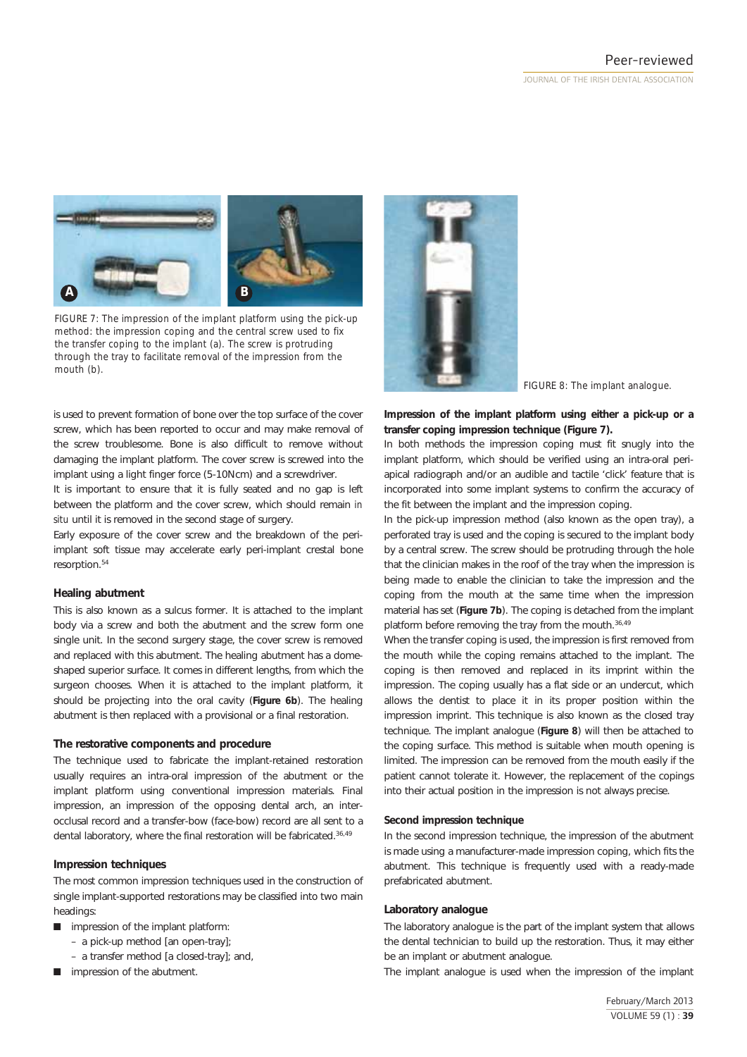

*FIGURE 7: The impression of the implant platform using the pick-up method: the impression coping and the central screw used to fix the transfer coping to the implant (a). The screw is protruding through the tray to facilitate removal of the impression from the mouth (b).*

is used to prevent formation of bone over the top surface of the cover screw, which has been reported to occur and may make removal of the screw troublesome. Bone is also difficult to remove without damaging the implant platform. The cover screw is screwed into the implant using a light finger force (5-10Ncm) and a screwdriver.

It is important to ensure that it is fully seated and no gap is left between the platform and the cover screw, which should remain *in situ* until it is removed in the second stage of surgery.

Early exposure of the cover screw and the breakdown of the periimplant soft tissue may accelerate early peri-implant crestal bone resorption.54

# **Healing abutment**

This is also known as a sulcus former. It is attached to the implant body via a screw and both the abutment and the screw form one single unit. In the second surgery stage, the cover screw is removed and replaced with this abutment. The healing abutment has a domeshaped superior surface. It comes in different lengths, from which the surgeon chooses. When it is attached to the implant platform, it should be projecting into the oral cavity (**Figure 6b**). The healing abutment is then replaced with a provisional or a final restoration.

### **The restorative components and procedure**

The technique used to fabricate the implant-retained restoration usually requires an intra-oral impression of the abutment or the implant platform using conventional impression materials. Final impression, an impression of the opposing dental arch, an interocclusal record and a transfer-bow (face-bow) record are all sent to a dental laboratory, where the final restoration will be fabricated.<sup>36,49</sup>

### **Impression techniques**

The most common impression techniques used in the construction of single implant-supported restorations may be classified into two main headings:

- $\blacksquare$  impression of the implant platform:
	- a pick-up method [an open-tray];
	- a transfer method [a closed-tray]; and,
- $\blacksquare$  impression of the abutment.



*FIGURE 8: The implant analogue.*

**Impression of the implant platform using either a pick-up or a transfer coping impression technique (Figure 7).**

In both methods the impression coping must fit snugly into the implant platform, which should be verified using an intra-oral periapical radiograph and/or an audible and tactile 'click' feature that is incorporated into some implant systems to confirm the accuracy of the fit between the implant and the impression coping.

In the pick-up impression method (also known as the open tray), a perforated tray is used and the coping is secured to the implant body by a central screw. The screw should be protruding through the hole that the clinician makes in the roof of the tray when the impression is being made to enable the clinician to take the impression and the coping from the mouth at the same time when the impression material has set (**Figure 7b**). The coping is detached from the implant platform before removing the tray from the mouth.<sup>36,49</sup>

When the transfer coping is used, the impression is first removed from the mouth while the coping remains attached to the implant. The coping is then removed and replaced in its imprint within the impression. The coping usually has a flat side or an undercut, which allows the dentist to place it in its proper position within the impression imprint. This technique is also known as the closed tray technique. The implant analogue (**Figure 8**) will then be attached to the coping surface. This method is suitable when mouth opening is limited. The impression can be removed from the mouth easily if the patient cannot tolerate it. However, the replacement of the copings into their actual position in the impression is not always precise.

### **Second impression technique**

In the second impression technique, the impression of the abutment is made using a manufacturer-made impression coping, which fits the abutment. This technique is frequently used with a ready-made prefabricated abutment.

### **Laboratory analogue**

The laboratory analogue is the part of the implant system that allows the dental technician to build up the restoration. Thus, it may either be an implant or abutment analogue.

The implant analogue is used when the impression of the implant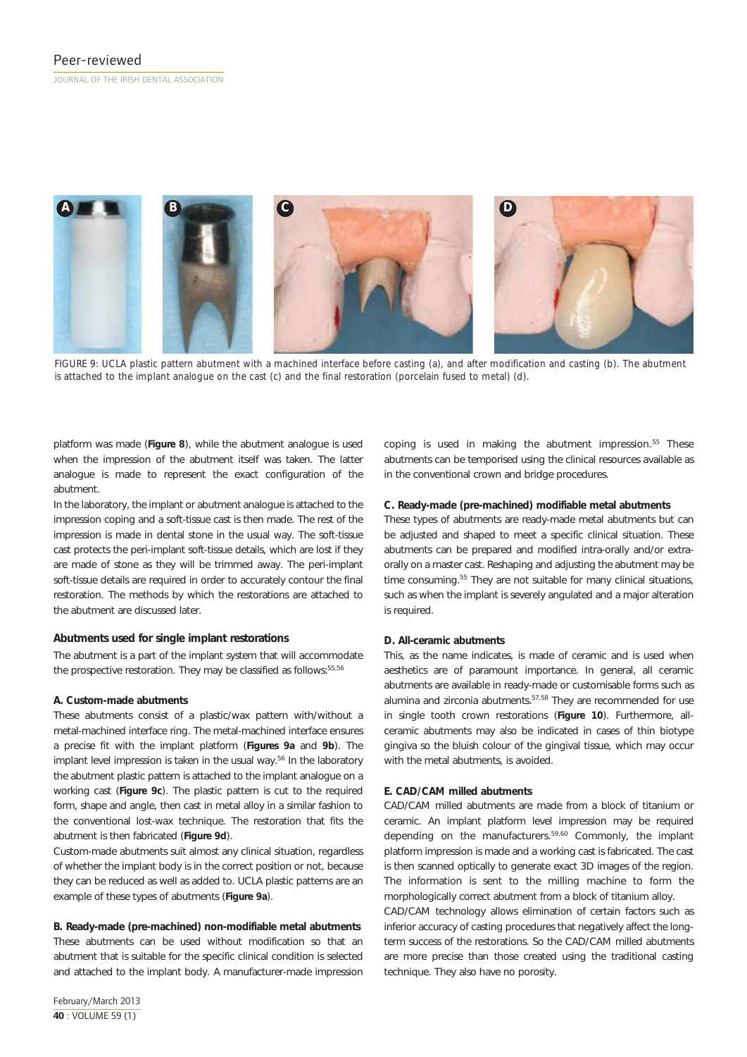

*FIGURE 9: UCLA plastic pattern abutment with a machined interface before casting (a), and after modification and casting (b). The abutment is attached to the implant analogue on the cast (c) and the final restoration (porcelain fused to metal) (d).*

platform was made (**Figure 8**), while the abutment analogue is used when the impression of the abutment itself was taken. The latter analogue is made to represent the exact configuration of the abutment.

In the laboratory, the implant or abutment analogue is attached to the impression coping and a soft-tissue cast is then made. The rest of the impression is made in dental stone in the usual way. The soft-tissue cast protects the peri-implant soft-tissue details, which are lost if they are made of stone as they will be trimmed away. The peri-implant soft-tissue details are required in order to accurately contour the final restoration. The methods by which the restorations are attached to the abutment are discussed later.

# **Abutments used for single implant restorations**

The abutment is a part of the implant system that will accommodate the prospective restoration. They may be classified as follows: 55,56

### **A. Custom-made abutments**

These abutments consist of a plastic/wax pattern with/without a metal-machined interface ring. The metal-machined interface ensures a precise fit with the implant platform (**Figures 9a** and **9b**). The implant level impression is taken in the usual way.<sup>56</sup> In the laboratory the abutment plastic pattern is attached to the implant analogue on a working cast (**Figure 9c**). The plastic pattern is cut to the required form, shape and angle, then cast in metal alloy in a similar fashion to the conventional lost-wax technique. The restoration that fits the abutment is then fabricated (**Figure 9d**).

Custom-made abutments suit almost any clinical situation, regardless of whether the implant body is in the correct position or not, because they can be reduced as well as added to. UCLA plastic patterns are an example of these types of abutments (**Figure 9a**).

**B. Ready-made (pre-machined) non-modifiable metal abutments** These abutments can be used without modification so that an abutment that is suitable for the specific clinical condition is selected and attached to the implant body. A manufacturer-made impression

February/March 2013 **40** : VOLUME 59 (1)

coping is used in making the abutment impression.<sup>55</sup> These abutments can be temporised using the clinical resources available as in the conventional crown and bridge procedures.

### **C. Ready-made (pre-machined) modifiable metal abutments**

These types of abutments are ready-made metal abutments but can be adjusted and shaped to meet a specific clinical situation. These abutments can be prepared and modified intra-orally and/or extraorally on a master cast. Reshaping and adjusting the abutment may be time consuming.<sup>55</sup> They are not suitable for many clinical situations, such as when the implant is severely angulated and a major alteration is required.

### **D. All-ceramic abutments**

This, as the name indicates, is made of ceramic and is used when aesthetics are of paramount importance. In general, all ceramic abutments are available in ready-made or customisable forms such as alumina and zirconia abutments.57,58 They are recommended for use in single tooth crown restorations (**Figure 10**). Furthermore, allceramic abutments may also be indicated in cases of thin biotype gingiva so the bluish colour of the gingival tissue, which may occur with the metal abutments, is avoided.

# **E. CAD/CAM milled abutments**

CAD/CAM milled abutments are made from a block of titanium or ceramic. An implant platform level impression may be required depending on the manufacturers.59,60 Commonly, the implant platform impression is made and a working cast is fabricated. The cast is then scanned optically to generate exact 3D images of the region. The information is sent to the milling machine to form the morphologically correct abutment from a block of titanium alloy.

CAD/CAM technology allows elimination of certain factors such as inferior accuracy of casting procedures that negatively affect the longterm success of the restorations. So the CAD/CAM milled abutments are more precise than those created using the traditional casting technique. They also have no porosity.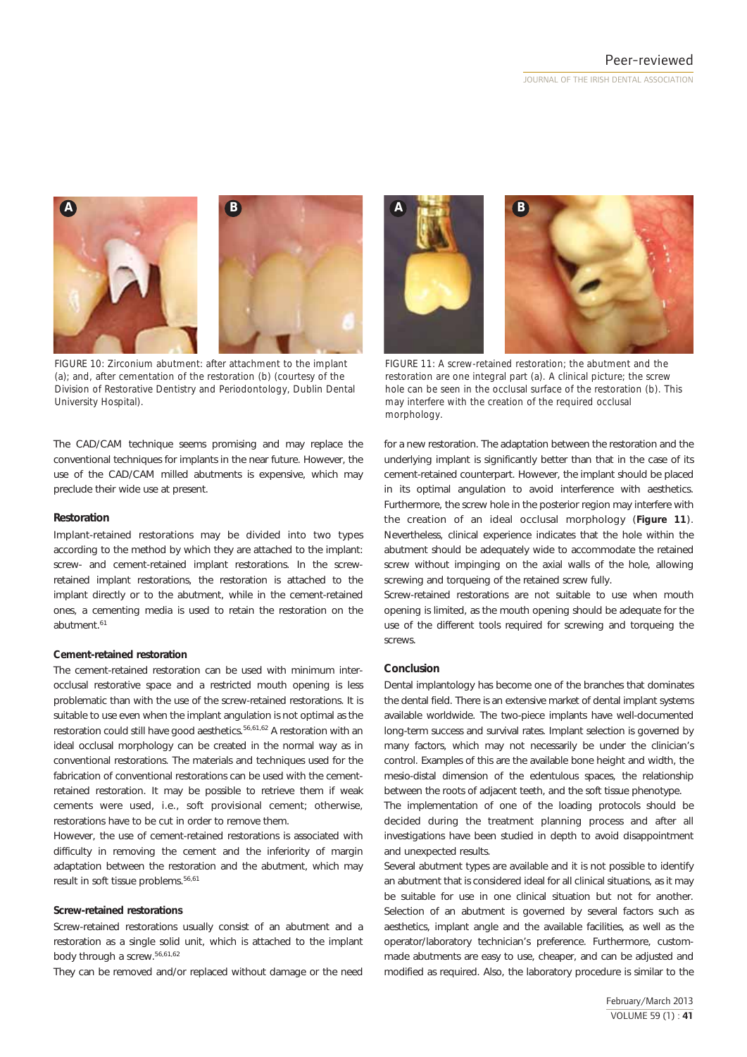



*FIGURE 10: Zirconium abutment: after attachment to the implant (a); and, after cementation of the restoration (b) (courtesy of the Division of Restorative Dentistry and Periodontology, Dublin Dental University Hospital).*

The CAD/CAM technique seems promising and may replace the conventional techniques for implants in the near future. However, the use of the CAD/CAM milled abutments is expensive, which may preclude their wide use at present.

### **Restoration**

Implant-retained restorations may be divided into two types according to the method by which they are attached to the implant: screw- and cement-retained implant restorations. In the screwretained implant restorations, the restoration is attached to the implant directly or to the abutment, while in the cement-retained ones, a cementing media is used to retain the restoration on the abutment.<sup>61</sup>

### **Cement-retained restoration**

The cement-retained restoration can be used with minimum interocclusal restorative space and a restricted mouth opening is less problematic than with the use of the screw-retained restorations. It is suitable to use even when the implant angulation is not optimal as the restoration could still have good aesthetics.<sup>56,61,62</sup> A restoration with an ideal occlusal morphology can be created in the normal way as in conventional restorations. The materials and techniques used for the fabrication of conventional restorations can be used with the cementretained restoration. It may be possible to retrieve them if weak cements were used, i.e., soft provisional cement; otherwise, restorations have to be cut in order to remove them.

However, the use of cement-retained restorations is associated with difficulty in removing the cement and the inferiority of margin adaptation between the restoration and the abutment, which may result in soft tissue problems.<sup>56,61</sup>

### **Screw-retained restorations**

Screw-retained restorations usually consist of an abutment and a restoration as a single solid unit, which is attached to the implant body through a screw.56,61,62

They can be removed and/or replaced without damage or the need



*FIGURE 11: A screw-retained restoration; the abutment and the restoration are one integral part (a). A clinical picture; the screw hole can be seen in the occlusal surface of the restoration (b). This may interfere with the creation of the required occlusal morphology.*

for a new restoration. The adaptation between the restoration and the underlying implant is significantly better than that in the case of its cement-retained counterpart. However, the implant should be placed in its optimal angulation to avoid interference with aesthetics. Furthermore, the screw hole in the posterior region may interfere with the creation of an ideal occlusal morphology (**Figure 11**). Nevertheless, clinical experience indicates that the hole within the abutment should be adequately wide to accommodate the retained screw without impinging on the axial walls of the hole, allowing screwing and torqueing of the retained screw fully.

Screw-retained restorations are not suitable to use when mouth opening is limited, as the mouth opening should be adequate for the use of the different tools required for screwing and torqueing the screws.

### **Conclusion**

Dental implantology has become one of the branches that dominates the dental field. There is an extensive market of dental implant systems available worldwide. The two-piece implants have well-documented long-term success and survival rates. Implant selection is governed by many factors, which may not necessarily be under the clinician's control. Examples of this are the available bone height and width, the mesio-distal dimension of the edentulous spaces, the relationship between the roots of adjacent teeth, and the soft tissue phenotype.

The implementation of one of the loading protocols should be decided during the treatment planning process and after all investigations have been studied in depth to avoid disappointment and unexpected results.

Several abutment types are available and it is not possible to identify an abutment that is considered ideal for all clinical situations, as it may be suitable for use in one clinical situation but not for another. Selection of an abutment is governed by several factors such as aesthetics, implant angle and the available facilities, as well as the operator/laboratory technician's preference. Furthermore, custommade abutments are easy to use, cheaper, and can be adjusted and modified as required. Also, the laboratory procedure is similar to the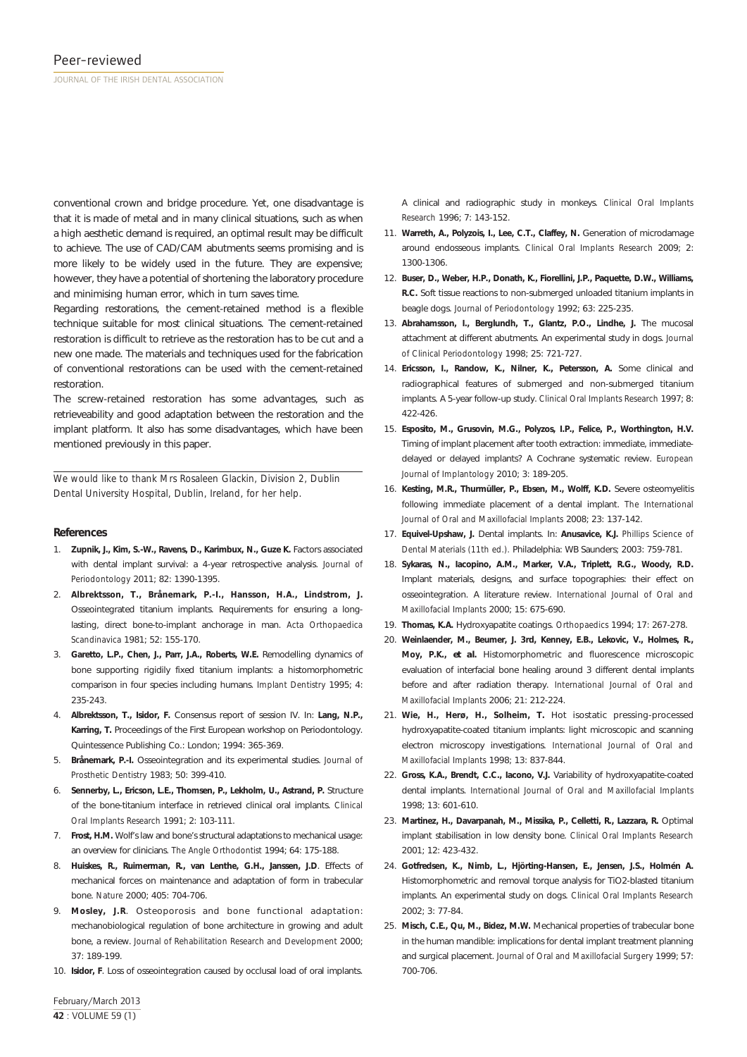conventional crown and bridge procedure. Yet, one disadvantage is that it is made of metal and in many clinical situations, such as when a high aesthetic demand is required, an optimal result may be difficult to achieve. The use of CAD/CAM abutments seems promising and is more likely to be widely used in the future. They are expensive; however, they have a potential of shortening the laboratory procedure and minimising human error, which in turn saves time.

Regarding restorations, the cement-retained method is a flexible technique suitable for most clinical situations. The cement-retained restoration is difficult to retrieve as the restoration has to be cut and a new one made. The materials and techniques used for the fabrication of conventional restorations can be used with the cement-retained restoration.

The screw-retained restoration has some advantages, such as retrieveability and good adaptation between the restoration and the implant platform. It also has some disadvantages, which have been mentioned previously in this paper.

*We would like to thank Mrs Rosaleen Glackin, Division 2, Dublin Dental University Hospital, Dublin, Ireland, for her help.*

### **References**

- 1. **Zupnik, J., Kim, S.-W., Ravens, D., Karimbux, N., Guze K.** Factors associated with dental implant survival: a 4-year retrospective analysis. *Journal of Periodontology* 2011; 82: 1390-1395.
- 2. **Albrektsson, T., Brånemark, P.-I., Hansson, H.A., Lindstrom, J.** Osseointegrated titanium implants. Requirements for ensuring a longlasting, direct bone-to-implant anchorage in man. *Acta Orthopaedica Scandinavica* 1981; 52: 155-170.
- 3. **Garetto, L.P., Chen, J., Parr, J.A., Roberts, W.E.** Remodelling dynamics of bone supporting rigidily fixed titanium implants: a histomorphometric comparison in four species including humans. *Implant Dentistry* 1995; 4: 235-243.
- 4. **Albrektsson, T., Isidor, F.** Consensus report of session IV. In: **Lang, N.P., Karring, T.** Proceedings of the First European workshop on Periodontology. Quintessence Publishing Co.: London; 1994: 365-369.
- 5. **Brånemark, P.-I.** Osseointegration and its experimental studies. *Journal of Prosthetic Dentistry* 1983; 50: 399-410.
- 6. **Sennerby, L., Ericson, L.E., Thomsen, P., Lekholm, U., Astrand, P.** Structure of the bone-titanium interface in retrieved clinical oral implants. *Clinical Oral Implants Research* 1991; 2: 103-111.
- 7. **Frost, H.M.** Wolf's law and bone's structural adaptations to mechanical usage: an overview for clinicians. *The Angle Orthodontist* 1994; 64: 175-188.
- 8. **Huiskes, R., Ruimerman, R., van Lenthe, G.H., Janssen, J.D**. Effects of mechanical forces on maintenance and adaptation of form in trabecular bone. *Nature* 2000; 405: 704-706.
- 9. **Mosley, J.R**. Osteoporosis and bone functional adaptation: mechanobiological regulation of bone architecture in growing and adult bone, a review. *Journal of Rehabilitation Research and Development* 2000; 37: 189-199.
- 10. **Isidor, F**. Loss of osseointegration caused by occlusal load of oral implants.

A clinical and radiographic study in monkeys. *Clinical Oral Implants Research* 1996; 7: 143-152.

- 11. **Warreth, A., Polyzois, I., Lee, C.T., Claffey, N.** Generation of microdamage around endosseous implants. *Clinical Oral Implants Research* 2009; 2: 1300-1306.
- 12. **Buser, D., Weber, H.P., Donath, K., Fiorellini, J.P., Paquette, D.W., Williams, R.C.** Soft tissue reactions to non-submerged unloaded titanium implants in beagle dogs. *Journal of Periodontology* 1992; 63: 225-235.
- 13. **Abrahamsson, I., Berglundh, T., Glantz, P.O., Lindhe, J.** The mucosal attachment at different abutments. An experimental study in dogs. *Journal of Clinical Periodontology* 1998; 25: 721-727.
- 14. **Ericsson, I., Randow, K., Nilner, K., Petersson, A.** Some clinical and radiographical features of submerged and non-submerged titanium implants. A 5-year follow-up study. *Clinical Oral Implants Research* 1997; 8: 422-426.
- 15. **Esposito, M., Grusovin, M.G., Polyzos, I.P., Felice, P., Worthington, H.V.** Timing of implant placement after tooth extraction: immediate, immediatedelayed or delayed implants? A Cochrane systematic review. *European Journal of Implantology* 2010; 3: 189-205.
- 16. **Kesting, M.R., Thurmüller, P., Ebsen, M., Wolff, K.D.** Severe osteomyelitis following immediate placement of a dental implant. *The International Journal of Oral and Maxillofacial Implants* 2008; 23: 137-142.
- 17. **Equivel-Upshaw, J.** Dental implants. In: **Anusavice, K.J.** *Phillips Science of Dental Materials (11th ed.).* Philadelphia: WB Saunders; 2003: 759-781.
- 18. **Sykaras, N., Iacopino, A.M., Marker, V.A., Triplett, R.G., Woody, R.D.** Implant materials, designs, and surface topographies: their effect on osseointegration. A literature review. *International Journal of Oral and Maxillofacial Implants* 2000; 15: 675-690.
- 19. **Thomas, K.A.** Hydroxyapatite coatings. *Orthopaedics* 1994; 17: 267-278.
- 20. **Weinlaender, M., Beumer, J. 3rd, Kenney, E.B., Lekovic, V., Holmes, R., Moy, P.K.,** *et al***.** Histomorphometric and fluorescence microscopic evaluation of interfacial bone healing around 3 different dental implants before and after radiation therapy. *International Journal of Oral and Maxillofacial Implants* 2006; 21: 212-224.
- 21. **Wie, H., Herø, H., Solheim, T.** Hot isostatic pressing-processed hydroxyapatite-coated titanium implants: light microscopic and scanning electron microscopy investigations. *International Journal of Oral and Maxillofacial Implants* 1998; 13: 837-844.
- 22. **Gross, K.A., Brendt, C.C., Iacono, V.J.** Variability of hydroxyapatite-coated dental implants. *International Journal of Oral and Maxillofacial Implants* 1998; 13: 601-610.
- 23. **Martinez, H., Davarpanah, M., Missika, P., Celletti, R., Lazzara, R.** Optimal implant stabilisation in low density bone. *Clinical Oral Implants Research* 2001; 12: 423-432.
- 24. **Gotfredsen, K., Nimb, L., Hjörting-Hansen, E., Jensen, J.S., Holmén A.** Histomorphometric and removal torque analysis for TiO2-blasted titanium implants. An experimental study on dogs. *Clinical Oral Implants Research* 2002; 3: 77-84.
- 25. **Misch, C.E., Qu, M., Bidez, M.W.** Mechanical properties of trabecular bone in the human mandible: implications for dental implant treatment planning and surgical placement. *Journal of Oral and Maxillofacial Surgery* 1999; 57: 700-706.